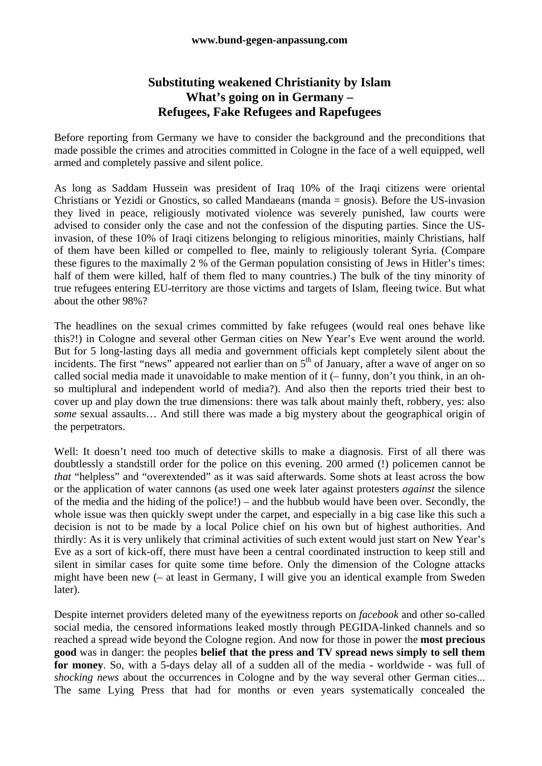## **Substituting weakened Christianity by Islam What's going on in Germany – Refugees, Fake Refugees and Rapefugees**

Before reporting from Germany we have to consider the background and the preconditions that made possible the crimes and atrocities committed in Cologne in the face of a well equipped, well armed and completely passive and silent police.

As long as Saddam Hussein was president of Iraq 10% of the Iraqi citizens were oriental Christians or Yezidi or Gnostics, so called Mandaeans (manda = gnosis). Before the US-invasion they lived in peace, religiously motivated violence was severely punished, law courts were advised to consider only the case and not the confession of the disputing parties. Since the USinvasion, of these 10% of Iraqi citizens belonging to religious minorities, mainly Christians, half of them have been killed or compelled to flee, mainly to religiously tolerant Syria. (Compare these figures to the maximally 2 % of the German population consisting of Jews in Hitler's times: half of them were killed, half of them fled to many countries.) The bulk of the tiny minority of true refugees entering EU-territory are those victims and targets of Islam, fleeing twice. But what about the other 98%?

The headlines on the sexual crimes committed by fake refugees (would real ones behave like this?!) in Cologne and several other German cities on New Year's Eve went around the world. But for 5 long-lasting days all media and government officials kept completely silent about the incidents. The first "news" appeared not earlier than on  $5<sup>th</sup>$  of January, after a wave of anger on so called social media made it unavoidable to make mention of it (– funny, don't you think, in an ohso multiplural and independent world of media?). And also then the reports tried their best to cover up and play down the true dimensions: there was talk about mainly theft, robbery, yes: also *some* sexual assaults… And still there was made a big mystery about the geographical origin of the perpetrators.

Well: It doesn't need too much of detective skills to make a diagnosis. First of all there was doubtlessly a standstill order for the police on this evening. 200 armed (!) policemen cannot be *that* "helpless" and "overextended" as it was said afterwards. Some shots at least across the bow or the application of water cannons (as used one week later against protesters *against* the silence of the media and the hiding of the police!) – and the hubbub would have been over. Secondly, the whole issue was then quickly swept under the carpet, and especially in a big case like this such a decision is not to be made by a local Police chief on his own but of highest authorities. And thirdly: As it is very unlikely that criminal activities of such extent would just start on New Year's Eve as a sort of kick-off, there must have been a central coordinated instruction to keep still and silent in similar cases for quite some time before. Only the dimension of the Cologne attacks might have been new (– at least in Germany, I will give you an identical example from Sweden later).

Despite internet providers deleted many of the eyewitness reports on *facebook* and other so-called social media, the censored informations leaked mostly through PEGIDA-linked channels and so reached a spread wide beyond the Cologne region. And now for those in power the **most precious good** was in danger: the peoples **belief that the press and TV spread news simply to sell them for money**. So, with a 5-days delay all of a sudden all of the media - worldwide - was full of *shocking news* about the occurrences in Cologne and by the way several other German cities... The same Lying Press that had for months or even years systematically concealed the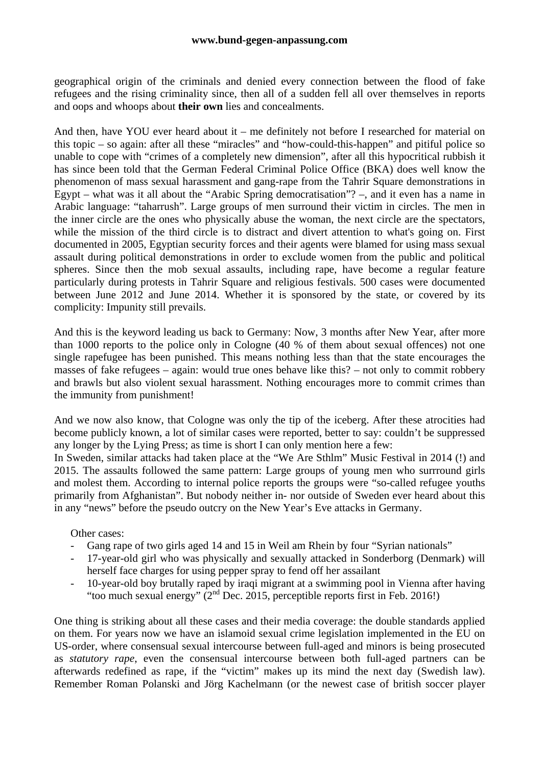geographical origin of the criminals and denied every connection between the flood of fake refugees and the rising criminality since, then all of a sudden fell all over themselves in reports and oops and whoops about **their own** lies and concealments.

And then, have YOU ever heard about it – me definitely not before I researched for material on this topic – so again: after all these "miracles" and "how-could-this-happen" and pitiful police so unable to cope with "crimes of a completely new dimension", after all this hypocritical rubbish it has since been told that the German Federal Criminal Police Office (BKA) does well know the phenomenon of mass sexual harassment and gang-rape from the Tahrir Square demonstrations in Egypt – what was it all about the "Arabic Spring democratisation"? –, and it even has a name in Arabic language: "taharrush". Large groups of men surround their victim in circles. The men in the inner circle are the ones who physically abuse the woman, the next circle are the spectators, while the mission of the third circle is to distract and divert attention to what's going on. First documented in 2005, Egyptian security forces and their agents were blamed for using mass sexual assault during political demonstrations in order to exclude women from the public and political spheres. Since then the mob sexual assaults, including rape, have become a regular feature particularly during protests in Tahrir Square and religious festivals. 500 cases were documented between June 2012 and June 2014. Whether it is sponsored by the state, or covered by its complicity: Impunity still prevails.

And this is the keyword leading us back to Germany: Now, 3 months after New Year, after more than 1000 reports to the police only in Cologne (40 % of them about sexual offences) not one single rapefugee has been punished. This means nothing less than that the state encourages the masses of fake refugees – again: would true ones behave like this? – not only to commit robbery and brawls but also violent sexual harassment. Nothing encourages more to commit crimes than the immunity from punishment!

And we now also know, that Cologne was only the tip of the iceberg. After these atrocities had become publicly known, a lot of similar cases were reported, better to say: couldn't be suppressed any longer by the Lying Press; as time is short I can only mention here a few:

In Sweden, similar attacks had taken place at the "We Are Sthlm" Music Festival in 2014 (!) and 2015. The assaults followed the same pattern: Large groups of young men who surrround girls and molest them. According to internal police reports the groups were "so-called refugee youths primarily from Afghanistan". But nobody neither in- nor outside of Sweden ever heard about this in any "news" before the pseudo outcry on the New Year's Eve attacks in Germany.

Other cases:

- Gang rape of two girls aged 14 and 15 in Weil am Rhein by four "Syrian nationals"
- 17-year-old girl who was physically and sexually attacked in Sonderborg (Denmark) will herself face charges for using pepper spray to fend off her assailant
- 10-year-old boy brutally raped by iraqi migrant at a swimming pool in Vienna after having "too much sexual energy" (2nd Dec. 2015, perceptible reports first in Feb. 2016!)

One thing is striking about all these cases and their media coverage: the double standards applied on them. For years now we have an islamoid sexual crime legislation implemented in the EU on US-order, where consensual sexual intercourse between full-aged and minors is being prosecuted as *statutory rape*, even the consensual intercourse between both full-aged partners can be afterwards redefined as rape, if the "victim" makes up its mind the next day (Swedish law). Remember Roman Polanski and Jörg Kachelmann (or the newest case of british soccer player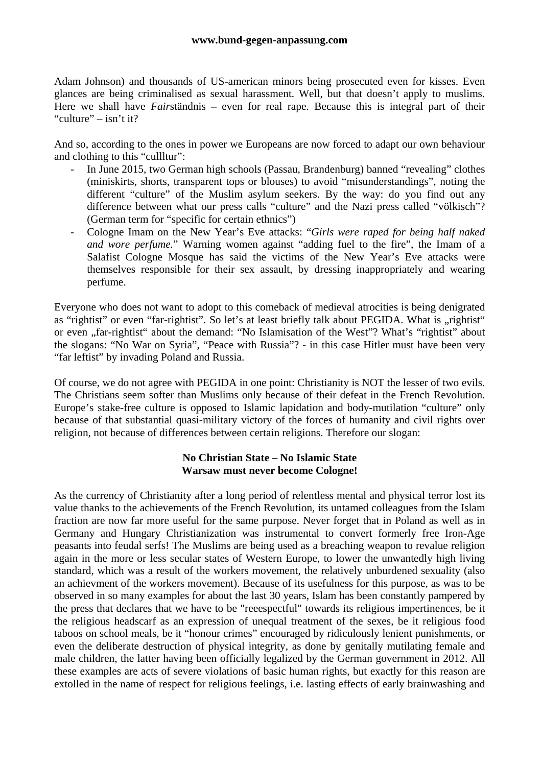Adam Johnson) and thousands of US-american minors being prosecuted even for kisses. Even glances are being criminalised as sexual harassment. Well, but that doesn't apply to muslims. Here we shall have *Fair*ständnis – even for real rape. Because this is integral part of their "culture" – isn't it?

And so, according to the ones in power we Europeans are now forced to adapt our own behaviour and clothing to this "cullltur":

- In June 2015, two German high schools (Passau, Brandenburg) banned "revealing" clothes (miniskirts, shorts, transparent tops or blouses) to avoid "misunderstandings", noting the different "culture" of the Muslim asylum seekers. By the way: do you find out any difference between what our press calls "culture" and the Nazi press called "völkisch"? (German term for "specific for certain ethnics")
- Cologne Imam on the New Year's Eve attacks: "*Girls were raped for being half naked and wore perfume.*" Warning women against "adding fuel to the fire", the Imam of a Salafist Cologne Mosque has said the victims of the New Year's Eve attacks were themselves responsible for their sex assault, by dressing inappropriately and wearing perfume.

Everyone who does not want to adopt to this comeback of medieval atrocities is being denigrated as "rightist" or even "far-rightist". So let's at least briefly talk about PEGIDA. What is "rightist" or even "far-rightist" about the demand: "No Islamisation of the West"? What's "rightist" about the slogans: "No War on Syria", "Peace with Russia"? - in this case Hitler must have been very "far leftist" by invading Poland and Russia.

Of course, we do not agree with PEGIDA in one point: Christianity is NOT the lesser of two evils. The Christians seem softer than Muslims only because of their defeat in the French Revolution. Europe's stake-free culture is opposed to Islamic lapidation and body-mutilation "culture" only because of that substantial quasi-military victory of the forces of humanity and civil rights over religion, not because of differences between certain religions. Therefore our slogan:

## **No Christian State – No Islamic State Warsaw must never become Cologne!**

As the currency of Christianity after a long period of relentless mental and physical terror lost its value thanks to the achievements of the French Revolution, its untamed colleagues from the Islam fraction are now far more useful for the same purpose. Never forget that in Poland as well as in Germany and Hungary Christianization was instrumental to convert formerly free Iron-Age peasants into feudal serfs! The Muslims are being used as a breaching weapon to revalue religion again in the more or less secular states of Western Europe, to lower the unwantedly high living standard, which was a result of the workers movement, the relatively unburdened sexuality (also an achievment of the workers movement). Because of its usefulness for this purpose, as was to be observed in so many examples for about the last 30 years, Islam has been constantly pampered by the press that declares that we have to be "reeespectful" towards its religious impertinences, be it the religious headscarf as an expression of unequal treatment of the sexes, be it religious food taboos on school meals, be it "honour crimes" encouraged by ridiculously lenient punishments, or even the deliberate destruction of physical integrity, as done by genitally mutilating female and male children, the latter having been officially legalized by the German government in 2012. All these examples are acts of severe violations of basic human rights, but exactly for this reason are extolled in the name of respect for religious feelings, i.e. lasting effects of early brainwashing and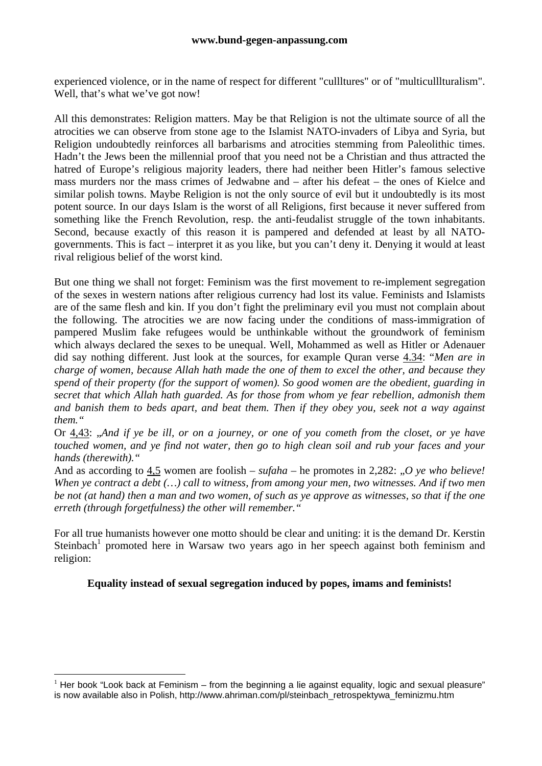experienced violence, or in the name of respect for different "cullltures" or of "multiculllturalism". Well, that's what we've got now!

All this demonstrates: Religion matters. May be that Religion is not the ultimate source of all the atrocities we can observe from stone age to the Islamist NATO-invaders of Libya and Syria, but Religion undoubtedly reinforces all barbarisms and atrocities stemming from Paleolithic times. Hadn't the Jews been the millennial proof that you need not be a Christian and thus attracted the hatred of Europe's religious majority leaders, there had neither been Hitler's famous selective mass murders nor the mass crimes of Jedwabne and – after his defeat – the ones of Kielce and similar polish towns. Maybe Religion is not the only source of evil but it undoubtedly is its most potent source. In our days Islam is the worst of all Religions, first because it never suffered from something like the French Revolution, resp. the anti-feudalist struggle of the town inhabitants. Second, because exactly of this reason it is pampered and defended at least by all NATOgovernments. This is fact – interpret it as you like, but you can't deny it. Denying it would at least rival religious belief of the worst kind.

But one thing we shall not forget: Feminism was the first movement to re-implement segregation of the sexes in western nations after religious currency had lost its value. Feminists and Islamists are of the same flesh and kin. If you don't fight the preliminary evil you must not complain about the following. The atrocities we are now facing under the conditions of mass-immigration of pampered Muslim fake refugees would be unthinkable without the groundwork of feminism which always declared the sexes to be unequal. Well, Mohammed as well as Hitler or Adenauer did say nothing different. Just look at the sources, for example Quran verse 4.34: "*Men are in charge of women, because Allah hath made the one of them to excel the other, and because they spend of their property (for the support of women). So good women are the obedient, guarding in secret that which Allah hath guarded. As for those from whom ye fear rebellion, admonish them and banish them to beds apart, and beat them. Then if they obey you, seek not a way against them."*

Or 4,43: "*And if ye be ill, or on a journey, or one of you cometh from the closet, or ye have touched women, and ye find not water, then go to high clean soil and rub your faces and your hands (therewith)."*

And as according to  $4.5$  women are foolish – *sufaha* – he promotes in 2,282: *"O ye who believe! When ye contract a debt (…) call to witness, from among your men, two witnesses. And if two men be not (at hand) then a man and two women, of such as ye approve as witnesses, so that if the one erreth (through forgetfulness) the other will remember."*

For all true humanists however one motto should be clear and uniting: it is the demand Dr. Kerstin Steinbach<sup>1</sup> promoted here in Warsaw two years ago in her speech against both feminism and religion:

## **Equality instead of sexual segregation induced by popes, imams and feminists!**

1

<sup>&</sup>lt;sup>1</sup> Her book "Look back at Feminism – from the beginning a lie against equality, logic and sexual pleasure" is now available also in Polish, http://www.ahriman.com/pl/steinbach\_retrospektywa\_feminizmu.htm